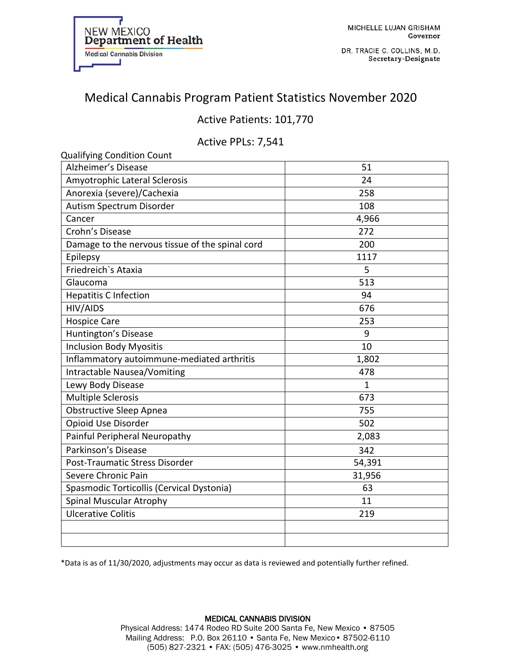

DR. TRACIE C. COLLINS, M.D. Secretary-Designate

# Medical Cannabis Program Patient Statistics November 2020

## Active Patients: 101,770

### Active PPLs: 7,541

| <b>Qualifying Condition Count</b>               |             |
|-------------------------------------------------|-------------|
| Alzheimer's Disease                             | 51          |
| Amyotrophic Lateral Sclerosis                   | 24          |
| Anorexia (severe)/Cachexia                      | 258         |
| Autism Spectrum Disorder                        | 108         |
| Cancer                                          | 4,966       |
| Crohn's Disease                                 | 272         |
| Damage to the nervous tissue of the spinal cord | 200         |
| Epilepsy                                        | 1117        |
| Friedreich's Ataxia                             | 5           |
| Glaucoma                                        | 513         |
| <b>Hepatitis C Infection</b>                    | 94          |
| HIV/AIDS                                        | 676         |
| <b>Hospice Care</b>                             | 253         |
| Huntington's Disease                            | 9           |
| <b>Inclusion Body Myositis</b>                  | 10          |
| Inflammatory autoimmune-mediated arthritis      | 1,802       |
| Intractable Nausea/Vomiting                     | 478         |
| Lewy Body Disease                               | $\mathbf 1$ |
| <b>Multiple Sclerosis</b>                       | 673         |
| <b>Obstructive Sleep Apnea</b>                  | 755         |
| Opioid Use Disorder                             | 502         |
| Painful Peripheral Neuropathy                   | 2,083       |
| Parkinson's Disease                             | 342         |
| Post-Traumatic Stress Disorder                  | 54,391      |
| Severe Chronic Pain                             | 31,956      |
| Spasmodic Torticollis (Cervical Dystonia)       | 63          |
| <b>Spinal Muscular Atrophy</b>                  | 11          |
| <b>Ulcerative Colitis</b>                       | 219         |
|                                                 |             |
|                                                 |             |

\*Data is as of 11/30/2020, adjustments may occur as data is reviewed and potentially further refined.

#### MEDICAL CANNABIS DIVISION Physical Address: 1474 Rodeo RD Suite 200 Santa Fe, New Mexico • 87505 Mailing Address: P.O. Box 26110 • Santa Fe, New Mexico• 87502-6110 (505) 827-2321 • FAX: (505) 476-3025 • www.nmhealth.org